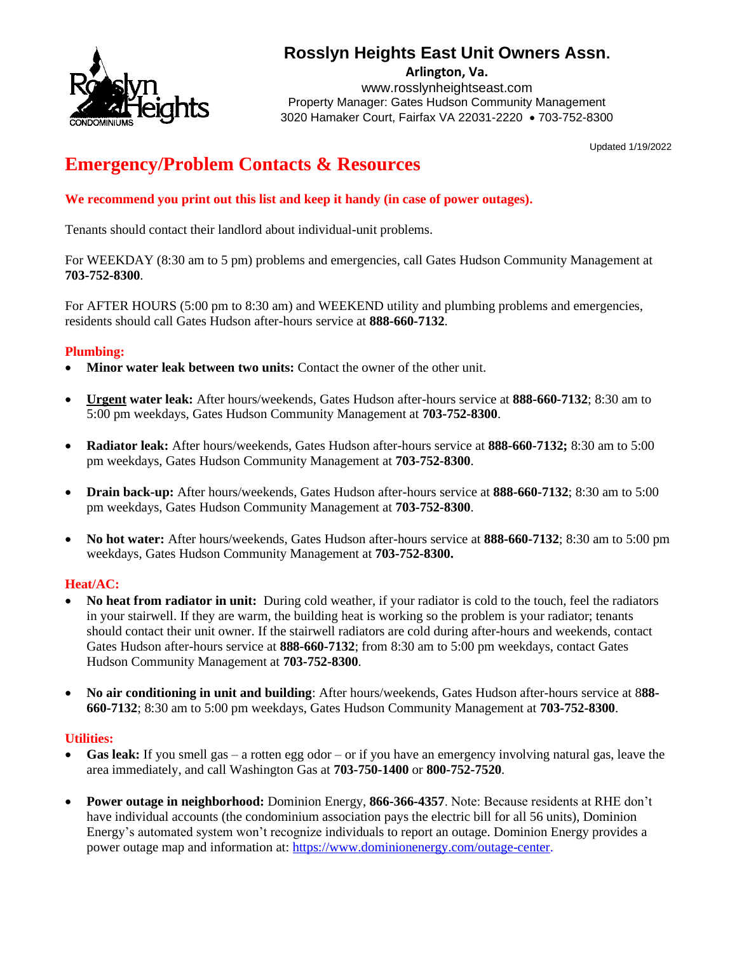

## **Rosslyn Heights East Unit Owners Assn.**

**Arlington, Va.**

www.rosslynheightseast.com Property Manager: Gates Hudson Community Management 3020 Hamaker Court, Fairfax VA 22031-2220 • 703-752-8300

Updated 1/19/2022

# **Emergency/Problem Contacts & Resources**

**We recommend you print out this list and keep it handy (in case of power outages).**

Tenants should contact their landlord about individual-unit problems.

For WEEKDAY (8:30 am to 5 pm) problems and emergencies, call Gates Hudson Community Management at **703-752-8300**.

For AFTER HOURS (5:00 pm to 8:30 am) and WEEKEND utility and plumbing problems and emergencies, residents should call Gates Hudson after-hours service at **888-660-7132**.

#### **Plumbing:**

- **Minor water leak between two units:** Contact the owner of the other unit.
- **Urgent water leak:** After hours/weekends, Gates Hudson after-hours service at **888-660-7132**; 8:30 am to 5:00 pm weekdays, Gates Hudson Community Management at **703-752-8300**.
- **Radiator leak:** After hours/weekends, Gates Hudson after-hours service at **888-660-7132;** 8:30 am to 5:00 pm weekdays, Gates Hudson Community Management at **703-752-8300**.
- **Drain back-up:** After hours/weekends, Gates Hudson after-hours service at **888-660-7132**; 8:30 am to 5:00 pm weekdays, Gates Hudson Community Management at **703-752-8300**.
- **No hot water:** After hours/weekends, Gates Hudson after-hours service at **888-660-7132**; 8:30 am to 5:00 pm weekdays, Gates Hudson Community Management at **703-752-8300.**

#### **Heat/AC:**

- **No heat from radiator in unit:** During cold weather, if your radiator is cold to the touch, feel the radiators in your stairwell. If they are warm, the building heat is working so the problem is your radiator; tenants should contact their unit owner. If the stairwell radiators are cold during after-hours and weekends, contact Gates Hudson after-hours service at **888-660-7132**; from 8:30 am to 5:00 pm weekdays, contact Gates Hudson Community Management at **703-752-8300**.
- **No air conditioning in unit and building**: After hours/weekends, Gates Hudson after-hours service at 8**88- 660-7132**; 8:30 am to 5:00 pm weekdays, Gates Hudson Community Management at **703-752-8300**.

#### **Utilities:**

- **Gas leak:** If you smell gas a rotten egg odor or if you have an emergency involving natural gas, leave the area immediately, and call Washington Gas at **703-750-1400** or **800-752-7520**.
- **Power outage in neighborhood:** Dominion Energy, **866-366-4357**. Note: Because residents at RHE don't have individual accounts (the condominium association pays the electric bill for all 56 units), Dominion Energy's automated system won't recognize individuals to report an outage. Dominion Energy provides a power outage map and information at: [https://www.dominionenergy.com/outage-center.](https://www.dominionenergy.com/outage-center)